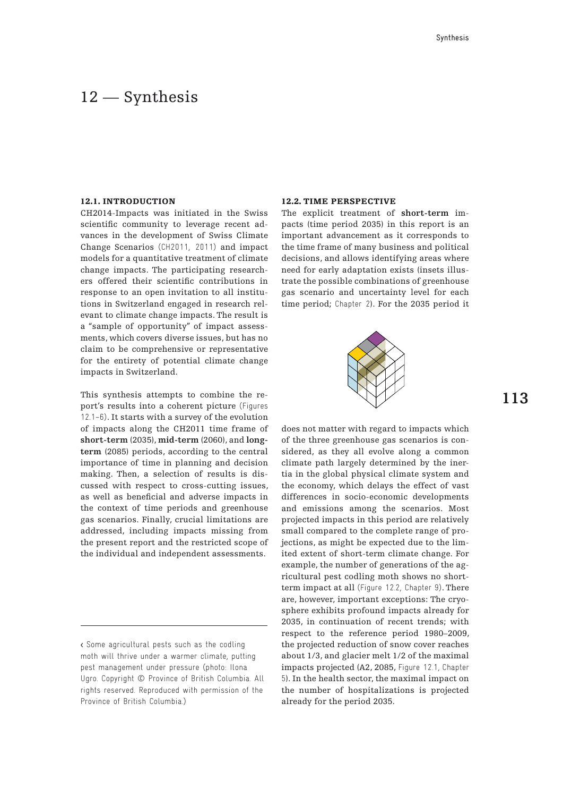## 12 – Synthesis

#### 12.1. INTRODUCTION

CH2014-Impacts was initiated in the Swiss scientific community to leverage recent advances in the development of Swiss Climate Change Scenarios (CH2011, 2011) and impact models for a quantitative treatment of climate change impacts. The participating researchers offered their scientific contributions in response to an open invitation to all institutions in Switzerland engaged in research relevant to climate change impacts. The result is a "sample of opportunity" of impact assessments, which covers diverse issues, but has no claim to be comprehensive or representative for the entirety of potential climate change impacts in Switzerland.

This synthesis attempts to combine the report's results into a coherent picture (Figures 12.1–6). It starts with a survey of the evolution of impacts along the CH2011 time frame of **short-term** (2035), **mid-term** (2060), and **longterm** (2085) periods, according to the central importance of time in planning and decision making. Then, a selection of results is discussed with respect to cross-cutting issues, as well as beneficial and adverse impacts in the context of time periods and greenhouse gas scenarios. Finally, crucial limitations are addressed, including impacts missing from the present report and the restricted scope of the individual and independent assessments.

### 12.2. Time perspective

The explicit treatment of **short-term** impacts (time period 2035) in this report is an important advancement as it corresponds to the time frame of many business and political decisions, and allows identifying areas where need for early adaptation exists (insets illustrate the possible combinations of greenhouse gas scenario and uncertainty level for each time period; Chapter 2). For the 2035 period it



does not matter with regard to impacts which of the three greenhouse gas scenarios is considered, as they all evolve along a common climate path largely determined by the inertia in the global physical climate system and the economy, which delays the effect of vast differences in socio-economic developments and emissions among the scenarios. Most projected impacts in this period are relatively small compared to the complete range of projections, as might be expected due to the limited extent of short-term climate change. For example, the number of generations of the agricultural pest codling moth shows no shortterm impact at all (Figure 12.2, Chapter 9). There are, however, important exceptions: The cryosphere exhibits profound impacts already for 2035, in continuation of recent trends; with respect to the reference period 1980–2009, the projected reduction of snow cover reaches about 1/3, and glacier melt 1/2 of the maximal impacts projected (A2, 2085, Figure 12.1, Chapter 5). In the health sector, the maximal impact on the number of hospitalizations is projected already for the period 2035.

<sup>&</sup>lt; Some agricultural pests such as the codling moth will thrive under a warmer climate, putting pest management under pressure (photo: Ilona Ugro. Copyright © Province of British Columbia. All rights reserved. Reproduced with permission of the Province of British Columbia.)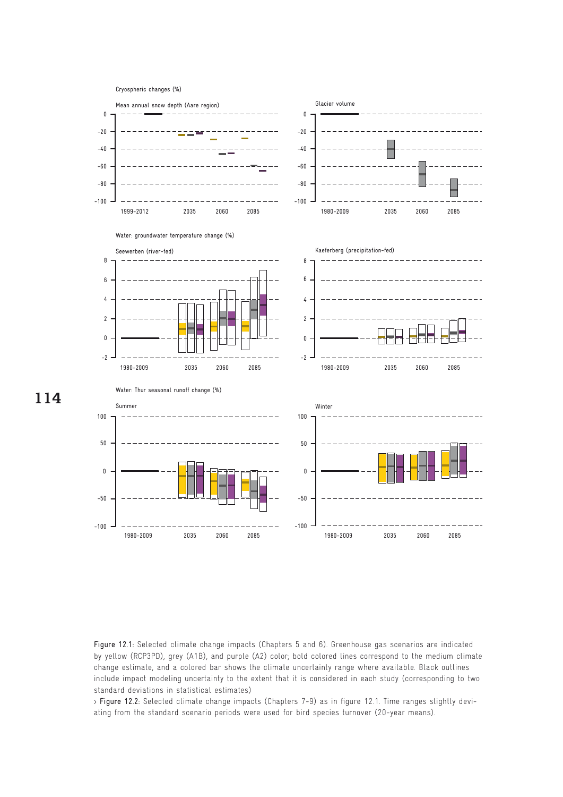

**114**

Figure 12.1: Selected climate change impacts (Chapters 5 and 6). Greenhouse gas scenarios are indicated by yellow (RCP3PD), grey (A1B), and purple (A2) color; bold colored lines correspond to the medium climate change estimate, and a colored bar shows the climate uncertainty range where available. Black outlines include impact modeling uncertainty to the extent that it is considered in each study (corresponding to two standard deviations in statistical estimates)

> Figure 12.2: Selected climate change impacts (Chapters 7-9) as in figure 12.1. Time ranges slightly deviating from the standard scenario periods were used for bird species turnover (20-year means).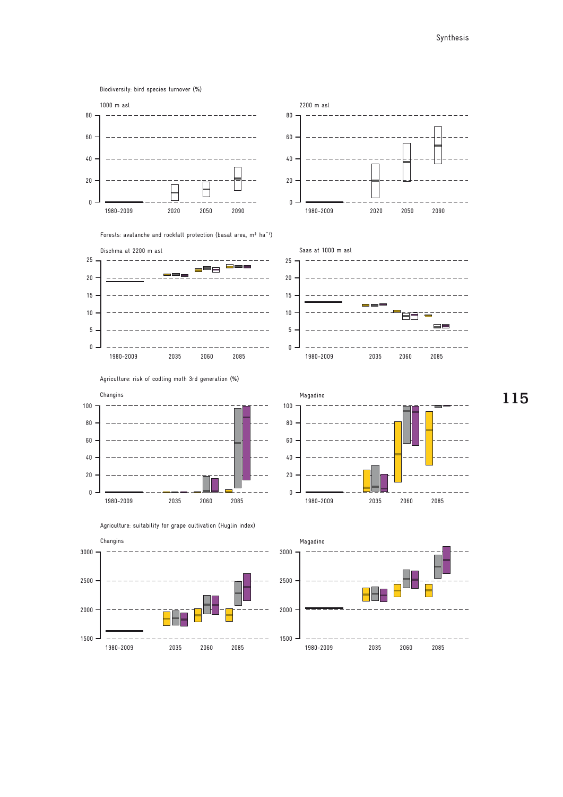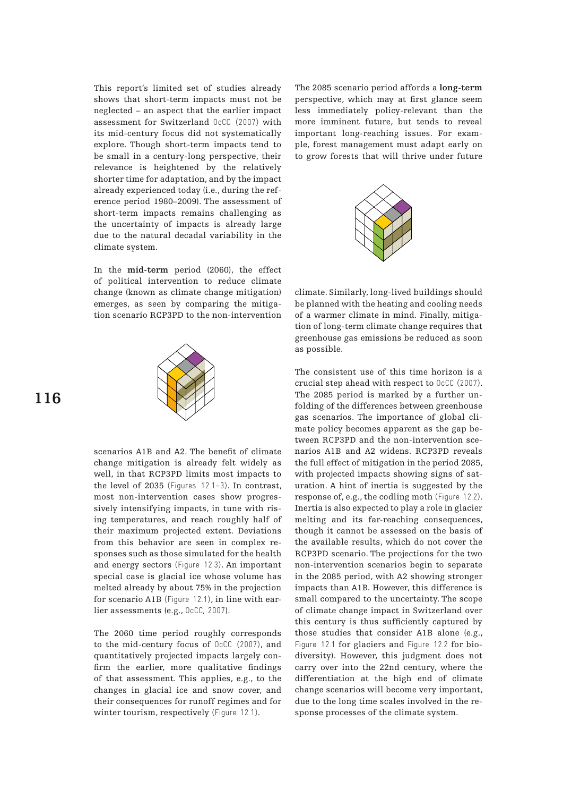This report's limited set of studies already shows that short-term impacts must not be neglected – an aspect that the earlier impact assessment for Switzerland OcCC (2007) with its mid-century focus did not systematically explore. Though short-term impacts tend to be small in a century-long perspective, their relevance is heightened by the relatively shorter time for adaptation, and by the impact already experienced today (i.e., during the reference period 1980–2009). The assessment of short-term impacts remains challenging as the uncertainty of impacts is already large due to the natural decadal variability in the climate system.

In the **mid-term** period (2060), the effect of political intervention to reduce climate change (known as climate change mitigation) emerges, as seen by comparing the mitigation scenario RCP3PD to the non-intervention



scenarios A1B and A2. The benefit of climate change mitigation is already felt widely as well, in that RCP3PD limits most impacts to the level of 2035 (Figures 12.1–3). In contrast, most non-intervention cases show progressively intensifying impacts, in tune with rising temperatures, and reach roughly half of their maximum projected extent. Deviations from this behavior are seen in complex responses such as those simulated for the health and energy sectors (Figure 12.3). An important special case is glacial ice whose volume has melted already by about 75% in the projection for scenario A1B (Figure 12.1), in line with earlier assessments (e.g., OcCC, 2007).

The 2060 time period roughly corresponds to the mid-century focus of OcCC (2007), and quantitatively projected impacts largely confirm the earlier, more qualitative findings of that assessment. This applies, e.g., to the changes in glacial ice and snow cover, and their consequences for runoff regimes and for winter tourism, respectively (Figure 12.1).

The 2085 scenario period affords a **long-term** perspective, which may at first glance seem less immediately policy-relevant than the more imminent future, but tends to reveal important long-reaching issues. For example, forest management must adapt early on to grow forests that will thrive under future



climate. Similarly, long-lived buildings should be planned with the heating and cooling needs of a warmer climate in mind. Finally, mitigation of long-term climate change requires that greenhouse gas emissions be reduced as soon as possible.

The consistent use of this time horizon is a crucial step ahead with respect to OcCC (2007). The 2085 period is marked by a further unfolding of the differences between greenhouse gas scenarios. The importance of global climate policy becomes apparent as the gap between RCP3PD and the non-intervention scenarios A1B and A2 widens. RCP3PD reveals the full effect of mitigation in the period 2085, with projected impacts showing signs of saturation. A hint of inertia is suggested by the response of, e.g., the codling moth (Figure 12.2). Inertia is also expected to play a role in glacier melting and its far-reaching consequences, though it cannot be assessed on the basis of the available results, which do not cover the RCP3PD scenario. The projections for the two non-intervention scenarios begin to separate in the 2085 period, with A2 showing stronger impacts than A1B. However, this difference is small compared to the uncertainty. The scope of climate change impact in Switzerland over this century is thus sufficiently captured by those studies that consider A1B alone (e.g., Figure 12.1 for glaciers and Figure 12.2 for biodiversity). However, this judgment does not carry over into the 22nd century, where the differentiation at the high end of climate change scenarios will become very important, due to the long time scales involved in the response processes of the climate system.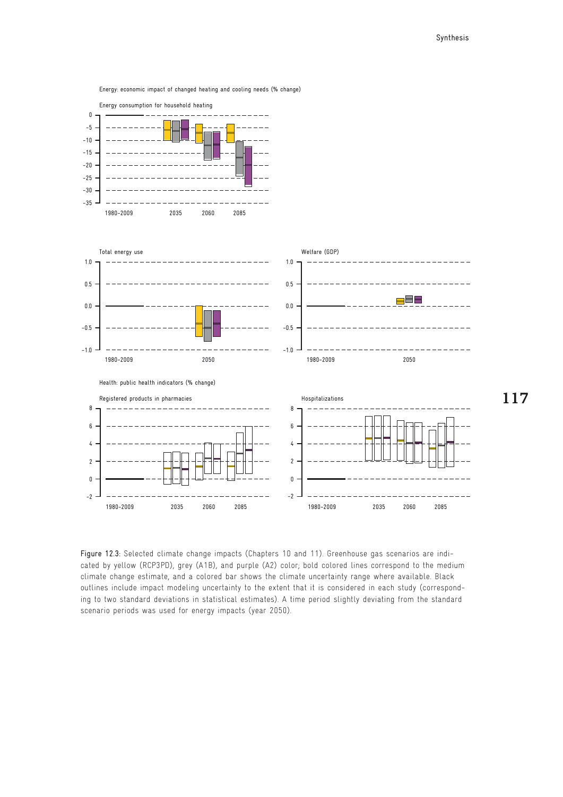Energy: economic impact of changed heating and cooling needs (% change)



Figure 12.3: Selected climate change impacts (Chapters 10 and 11). Greenhouse gas scenarios are indicated by yellow (RCP3PD), grey (A1B), and purple (A2) color; bold colored lines correspond to the medium climate change estimate, and a colored bar shows the climate uncertainty range where available. Black outlines include impact modeling uncertainty to the extent that it is considered in each study (corresponding to two standard deviations in statistical estimates). A time period slightly deviating from the standard scenario periods was used for energy impacts (year 2050).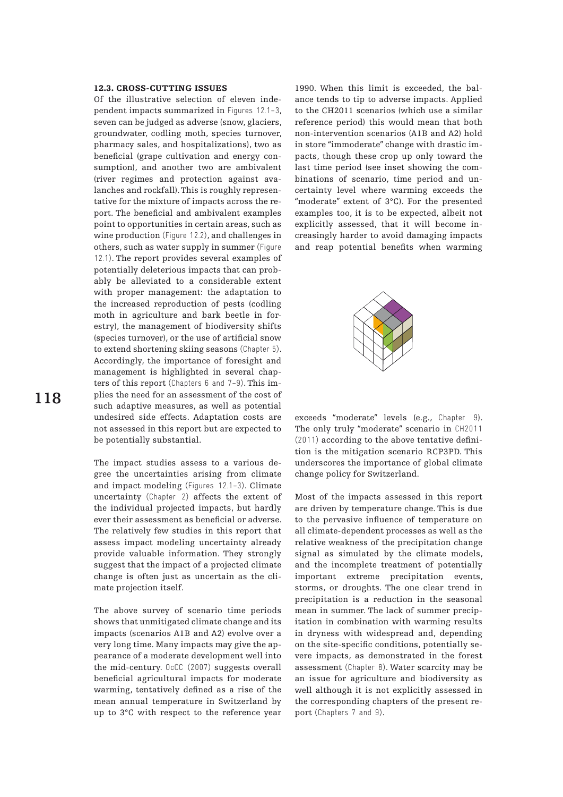### 12.3. CROSS-CUTTING ISSUES

Of the illustrative selection of eleven independent impacts summarized in Figures 12.1–3, seven can be judged as adverse (snow, glaciers, groundwater, codling moth, species turnover, pharmacy sales, and hospitalizations), two as beneficial (grape cultivation and energy consumption), and another two are ambivalent (river regimes and protection against avalanches and rockfall). This is roughly representative for the mixture of impacts across the report. The beneficial and ambivalent examples point to opportunities in certain areas, such as wine production (Figure 12.2), and challenges in others, such as water supply in summer (Figure 12.1). The report provides several examples of potentially deleterious impacts that can probably be alleviated to a considerable extent with proper management: the adaptation to the increased reproduction of pests (codling moth in agriculture and bark beetle in forestry), the management of biodiversity shifts (species turnover), or the use of artificial snow to extend shortening skiing seasons (Chapter 5). Accordingly, the importance of foresight and management is highlighted in several chapters of this report (Chapters 6 and 7–9). This implies the need for an assessment of the cost of such adaptive measures, as well as potential undesired side effects. Adaptation costs are not assessed in this report but are expected to be potentially substantial.

The impact studies assess to a various degree the uncertainties arising from climate and impact modeling (Figures 12.1–3). Climate uncertainty (Chapter 2) affects the extent of the individual projected impacts, but hardly ever their assessment as beneficial or adverse. The relatively few studies in this report that assess impact modeling uncertainty already provide valuable information. They strongly suggest that the impact of a projected climate change is often just as uncertain as the climate projection itself.

The above survey of scenario time periods shows that unmitigated climate change and its impacts (scenarios A1B and A2) evolve over a very long time. Many impacts may give the appearance of a moderate development well into the mid-century. OcCC (2007) suggests overall beneficial agricultural impacts for moderate warming, tentatively defined as a rise of the mean annual temperature in Switzerland by up to 3°C with respect to the reference year 1990. When this limit is exceeded, the balance tends to tip to adverse impacts. Applied to the CH2011 scenarios (which use a similar reference period) this would mean that both non-intervention scenarios (A1B and A2) hold in store "immoderate" change with drastic impacts, though these crop up only toward the last time period (see inset showing the combinations of scenario, time period and uncertainty level where warming exceeds the "moderate" extent of 3°C). For the presented examples too, it is to be expected, albeit not explicitly assessed, that it will become increasingly harder to avoid damaging impacts and reap potential benefits when warming



exceeds "moderate" levels (e.g., Chapter 9). The only truly "moderate" scenario in CH2011 (2011) according to the above tentative definition is the mitigation scenario RCP3PD. This underscores the importance of global climate change policy for Switzerland.

Most of the impacts assessed in this report are driven by temperature change. This is due to the pervasive influence of temperature on all climate-dependent processes as well as the relative weakness of the precipitation change signal as simulated by the climate models, and the incomplete treatment of potentially important extreme precipitation events, storms, or droughts. The one clear trend in precipitation is a reduction in the seasonal mean in summer. The lack of summer precipitation in combination with warming results in dryness with widespread and, depending on the site-specific conditions, potentially severe impacts, as demonstrated in the forest assessment (Chapter 8). Water scarcity may be an issue for agriculture and biodiversity as well although it is not explicitly assessed in the corresponding chapters of the present report (Chapters 7 and 9).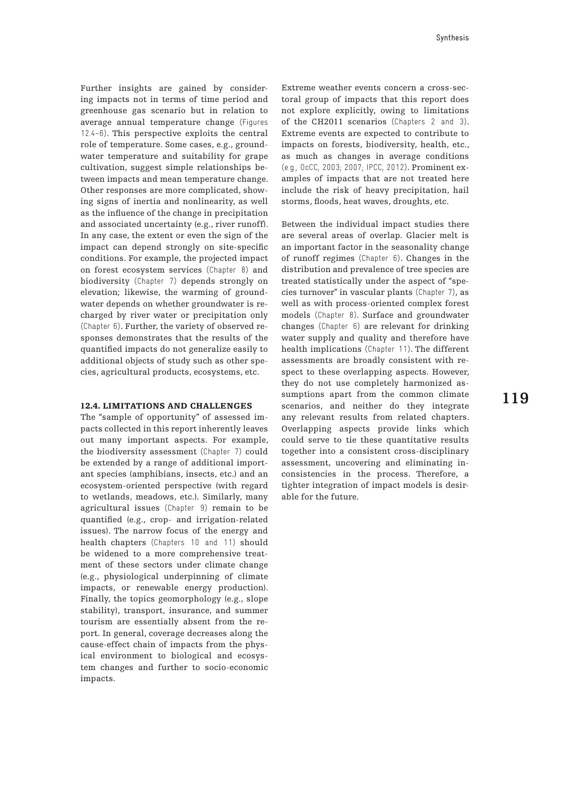Further insights are gained by considering impacts not in terms of time period and greenhouse gas scenario but in relation to average annual temperature change (Figures 12.4–6). This perspective exploits the central role of temperature. Some cases, e.g., groundwater temperature and suitability for grape cultivation, suggest simple relationships between impacts and mean temperature change. Other responses are more complicated, showing signs of inertia and nonlinearity, as well as the influence of the change in precipitation and associated uncertainty (e.g., river runoff). In any case, the extent or even the sign of the impact can depend strongly on site-specific conditions. For example, the projected impact on forest ecosystem services (Chapter 8) and biodiversity (Chapter 7) depends strongly on elevation; likewise, the warming of groundwater depends on whether groundwater is recharged by river water or precipitation only (Chapter 6). Further, the variety of observed responses demonstrates that the results of the quantified impacts do not generalize easily to additional objects of study such as other species, agricultural products, ecosystems, etc.

#### 12.4. Limitations and challenges

The "sample of opportunity" of assessed impacts collected in this report inherently leaves out many important aspects. For example, the biodiversity assessment (Chapter 7) could be extended by a range of additional important species (amphibians, insects, etc.) and an ecosystem-oriented perspective (with regard to wetlands, meadows, etc.). Similarly, many agricultural issues (Chapter 9) remain to be quantified (e.g., crop- and irrigation-related issues). The narrow focus of the energy and health chapters (Chapters 10 and 11) should be widened to a more comprehensive treatment of these sectors under climate change (e.g., physiological underpinning of climate impacts, or renewable energy production). Finally, the topics geomorphology (e.g., slope stability), transport, insurance, and summer tourism are essentially absent from the report. In general, coverage decreases along the cause-effect chain of impacts from the physical environment to biological and ecosystem changes and further to socio-economic impacts.

Extreme weather events concern a cross-sectoral group of impacts that this report does not explore explicitly, owing to limitations of the CH2011 scenarios (Chapters 2 and 3). Extreme events are expected to contribute to impacts on forests, biodiversity, health, etc., as much as changes in average conditions (e.g., OcCC, 2003; 2007; IPCC, 2012). Prominent examples of impacts that are not treated here include the risk of heavy precipitation, hail storms, floods, heat waves, droughts, etc.

Between the individual impact studies there are several areas of overlap. Glacier melt is an important factor in the seasonality change of runoff regimes (Chapter 6). Changes in the distribution and prevalence of tree species are treated statistically under the aspect of "species turnover" in vascular plants (Chapter 7), as well as with process-oriented complex forest models (Chapter 8). Surface and groundwater changes (Chapter 6) are relevant for drinking water supply and quality and therefore have health implications (Chapter 11). The different assessments are broadly consistent with respect to these overlapping aspects. However, they do not use completely harmonized assumptions apart from the common climate scenarios, and neither do they integrate any relevant results from related chapters. Overlapping aspects provide links which could serve to tie these quantitative results together into a consistent cross-disciplinary assessment, uncovering and eliminating inconsistencies in the process. Therefore, a tighter integration of impact models is desirable for the future.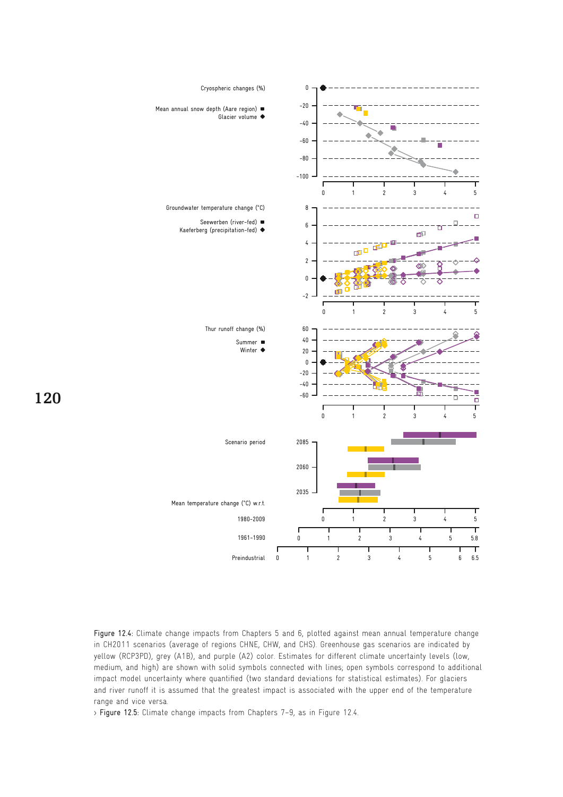

Figure 12.4: Climate change impacts from Chapters 5 and 6, plotted against mean annual temperature change in CH2011 scenarios (average of regions CHNE, CHW, and CHS). Greenhouse gas scenarios are indicated by yellow (RCP3PD), grey (A1B), and purple (A2) color. Estimates for different climate uncertainty levels (low, medium, and high) are shown with solid symbols connected with lines; open symbols correspond to additional impact model uncertainty where quantified (two standard deviations for statistical estimates). For glaciers and river runoff it is assumed that the greatest impact is associated with the upper end of the temperature range and vice versa.

> Figure 12.5: Climate change impacts from Chapters 7–9, as in Figure 12.4.

# **120**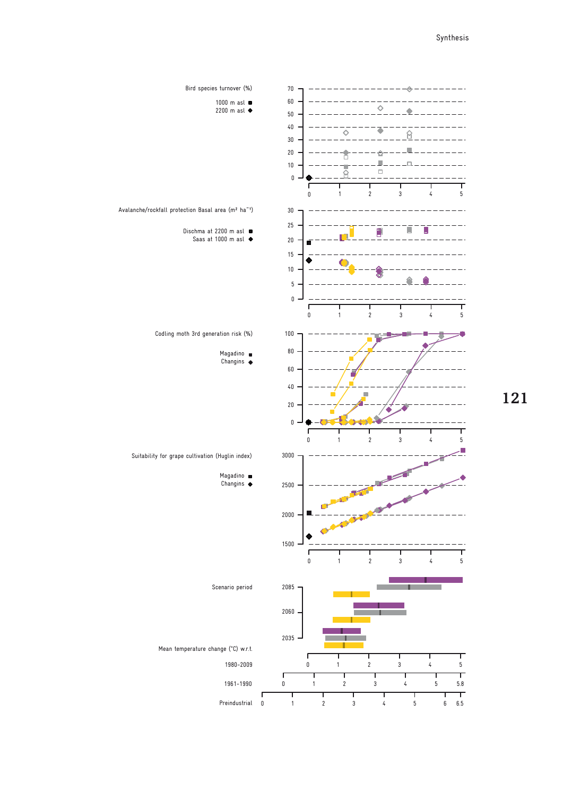